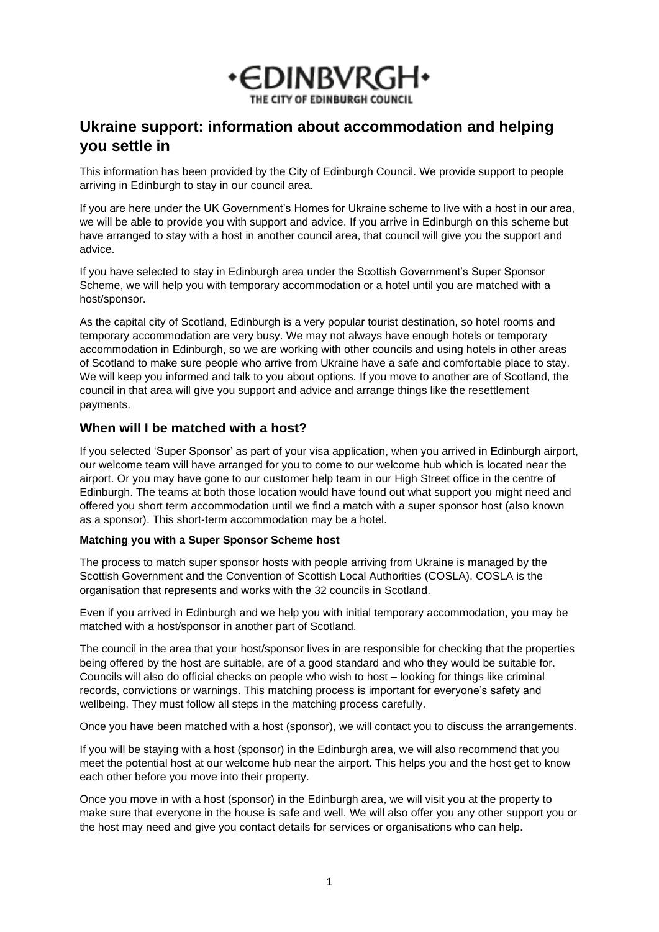

# **Ukraine support: information about accommodation and helping you settle in**

This information has been provided by the City of Edinburgh Council. We provide support to people arriving in Edinburgh to stay in our council area.

If you are here under the UK Government's Homes for Ukraine scheme to live with a host in our area, we will be able to provide you with support and advice. If you arrive in Edinburgh on this scheme but have arranged to stay with a host in another council area, that council will give you the support and advice.

If you have selected to stay in Edinburgh area under the Scottish Government's Super Sponsor Scheme, we will help you with temporary accommodation or a hotel until you are matched with a host/sponsor.

As the capital city of Scotland, Edinburgh is a very popular tourist destination, so hotel rooms and temporary accommodation are very busy. We may not always have enough hotels or temporary accommodation in Edinburgh, so we are working with other councils and using hotels in other areas of Scotland to make sure people who arrive from Ukraine have a safe and comfortable place to stay. We will keep you informed and talk to you about options. If you move to another are of Scotland, the council in that area will give you support and advice and arrange things like the resettlement payments.

## **When will I be matched with a host?**

If you selected 'Super Sponsor' as part of your visa application, when you arrived in Edinburgh airport, our welcome team will have arranged for you to come to our welcome hub which is located near the airport. Or you may have gone to our customer help team in our High Street office in the centre of Edinburgh. The teams at both those location would have found out what support you might need and offered you short term accommodation until we find a match with a super sponsor host (also known as a sponsor). This short-term accommodation may be a hotel.

#### **Matching you with a Super Sponsor Scheme host**

The process to match super sponsor hosts with people arriving from Ukraine is managed by the Scottish Government and the Convention of Scottish Local Authorities (COSLA). COSLA is the organisation that represents and works with the 32 councils in Scotland.

Even if you arrived in Edinburgh and we help you with initial temporary accommodation, you may be matched with a host/sponsor in another part of Scotland.

The council in the area that your host/sponsor lives in are responsible for checking that the properties being offered by the host are suitable, are of a good standard and who they would be suitable for. Councils will also do official checks on people who wish to host – looking for things like criminal records, convictions or warnings. This matching process is important for everyone's safety and wellbeing. They must follow all steps in the matching process carefully.

Once you have been matched with a host (sponsor), we will contact you to discuss the arrangements.

If you will be staying with a host (sponsor) in the Edinburgh area, we will also recommend that you meet the potential host at our welcome hub near the airport. This helps you and the host get to know each other before you move into their property.

Once you move in with a host (sponsor) in the Edinburgh area, we will visit you at the property to make sure that everyone in the house is safe and well. We will also offer you any other support you or the host may need and give you contact details for services or organisations who can help.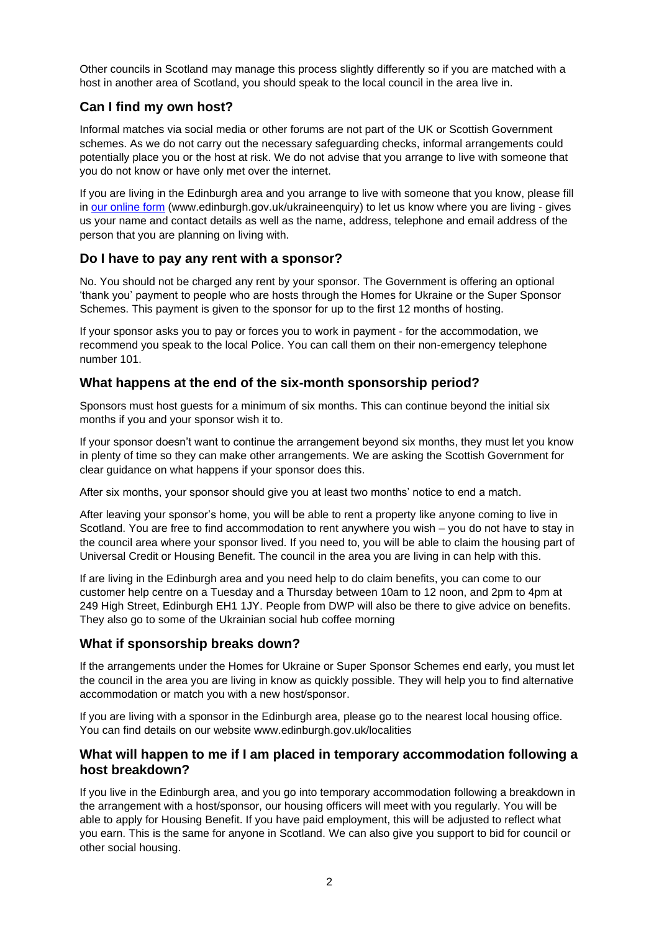Other councils in Scotland may manage this process slightly differently so if you are matched with a host in another area of Scotland, you should speak to the local council in the area live in.

# **Can I find my own host?**

Informal matches via social media or other forums are not part of the UK or Scottish Government schemes. As we do not carry out the necessary safeguarding checks, informal arrangements could potentially place you or the host at risk. We do not advise that you arrange to live with someone that you do not know or have only met over the internet.

If you are living in the Edinburgh area and you arrange to live with someone that you know, please fill in [our online form](https://www.edinburgh.gov.uk/ukraineenquiry) (www.edinburgh.gov.uk/ukraineenquiry) to let us know where you are living - gives us your name and contact details as well as the name, address, telephone and email address of the person that you are planning on living with.

## **Do I have to pay any rent with a sponsor?**

No. You should not be charged any rent by your sponsor. The Government is offering an optional 'thank you' payment to people who are hosts through the Homes for Ukraine or the Super Sponsor Schemes. This payment is given to the sponsor for up to the first 12 months of hosting.

If your sponsor asks you to pay or forces you to work in payment - for the accommodation, we recommend you speak to the local Police. You can call them on their non-emergency telephone number 101.

## **What happens at the end of the six-month sponsorship period?**

Sponsors must host guests for a minimum of six months. This can continue beyond the initial six months if you and your sponsor wish it to.

If your sponsor doesn't want to continue the arrangement beyond six months, they must let you know in plenty of time so they can make other arrangements. We are asking the Scottish Government for clear guidance on what happens if your sponsor does this.

After six months, your sponsor should give you at least two months' notice to end a match.

After leaving your sponsor's home, you will be able to rent a property like anyone coming to live in Scotland. You are free to find accommodation to rent anywhere you wish – you do not have to stay in the council area where your sponsor lived. If you need to, you will be able to claim the housing part of Universal Credit or Housing Benefit. The council in the area you are living in can help with this.

If are living in the Edinburgh area and you need help to do claim benefits, you can come to our customer help centre on a Tuesday and a Thursday between 10am to 12 noon, and 2pm to 4pm at 249 High Street, Edinburgh EH1 1JY. People from DWP will also be there to give advice on benefits. They also go to some of the Ukrainian social hub coffee morning

## **What if sponsorship breaks down?**

If the arrangements under the Homes for Ukraine or Super Sponsor Schemes end early, you must let the council in the area you are living in know as quickly possible. They will help you to find alternative accommodation or match you with a new host/sponsor.

If you are living with a sponsor in the Edinburgh area, please go to the nearest local housing office. You can find details on our website www.edinburgh.gov.uk/localities

## **What will happen to me if I am placed in temporary accommodation following a host breakdown?**

If you live in the Edinburgh area, and you go into temporary accommodation following a breakdown in the arrangement with a host/sponsor, our housing officers will meet with you regularly. You will be able to apply for Housing Benefit. If you have paid employment, this will be adjusted to reflect what you earn. This is the same for anyone in Scotland. We can also give you support to bid for council or other social housing.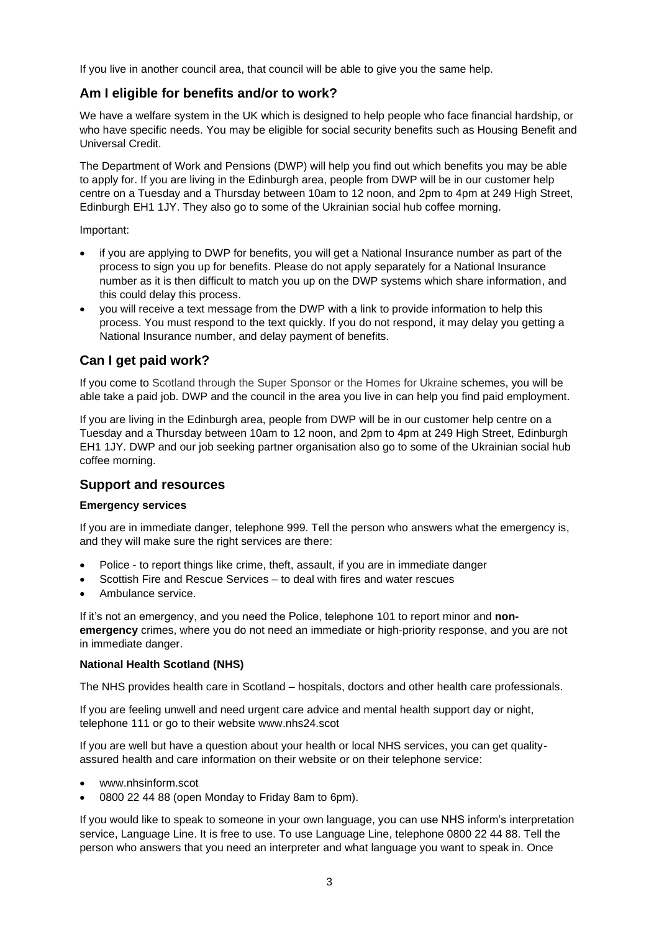If you live in another council area, that council will be able to give you the same help.

## **Am I eligible for benefits and/or to work?**

We have a welfare system in the UK which is designed to help people who face financial hardship, or who have specific needs. You may be eligible for social security benefits such as Housing Benefit and Universal Credit.

The Department of Work and Pensions (DWP) will help you find out which benefits you may be able to apply for. If you are living in the Edinburgh area, people from DWP will be in our customer help centre on a Tuesday and a Thursday between 10am to 12 noon, and 2pm to 4pm at 249 High Street, Edinburgh EH1 1JY. They also go to some of the Ukrainian social hub coffee morning.

Important:

- if you are applying to DWP for benefits, you will get a National Insurance number as part of the process to sign you up for benefits. Please do not apply separately for a National Insurance number as it is then difficult to match you up on the DWP systems which share information, and this could delay this process.
- you will receive a text message from the DWP with a link to provide information to help this process. You must respond to the text quickly. If you do not respond, it may delay you getting a National Insurance number, and delay payment of benefits.

## **Can I get paid work?**

If you come to Scotland through the Super Sponsor or the Homes for Ukraine schemes, you will be able take a paid job. DWP and the council in the area you live in can help you find paid employment.

If you are living in the Edinburgh area, people from DWP will be in our customer help centre on a Tuesday and a Thursday between 10am to 12 noon, and 2pm to 4pm at 249 High Street, Edinburgh EH1 1JY. DWP and our job seeking partner organisation also go to some of the Ukrainian social hub coffee morning.

### **Support and resources**

#### **Emergency services**

If you are in immediate danger, telephone 999. Tell the person who answers what the emergency is, and they will make sure the right services are there:

- Police to report things like crime, theft, assault, if you are in immediate danger
- Scottish Fire and Rescue Services to deal with fires and water rescues
- Ambulance service.

If it's not an emergency, and you need the Police, telephone 101 to report minor and **nonemergency** crimes, where you do not need an immediate or high-priority response, and you are not in immediate danger.

#### **National Health Scotland (NHS)**

The NHS provides health care in Scotland – hospitals, doctors and other health care professionals.

If you are feeling unwell and need urgent care advice and mental health support day or night, telephone 111 or go to their website www.nhs24.scot

If you are well but have a question about your health or local NHS services, you can get qualityassured health and care information on their website or on their telephone service:

- www.nhsinform.scot
- 0800 22 44 88 (open Monday to Friday 8am to 6pm).

If you would like to speak to someone in your own language, you can use NHS inform's interpretation service, Language Line. It is free to use. To use Language Line, telephone 0800 22 44 88. Tell the person who answers that you need an interpreter and what language you want to speak in. Once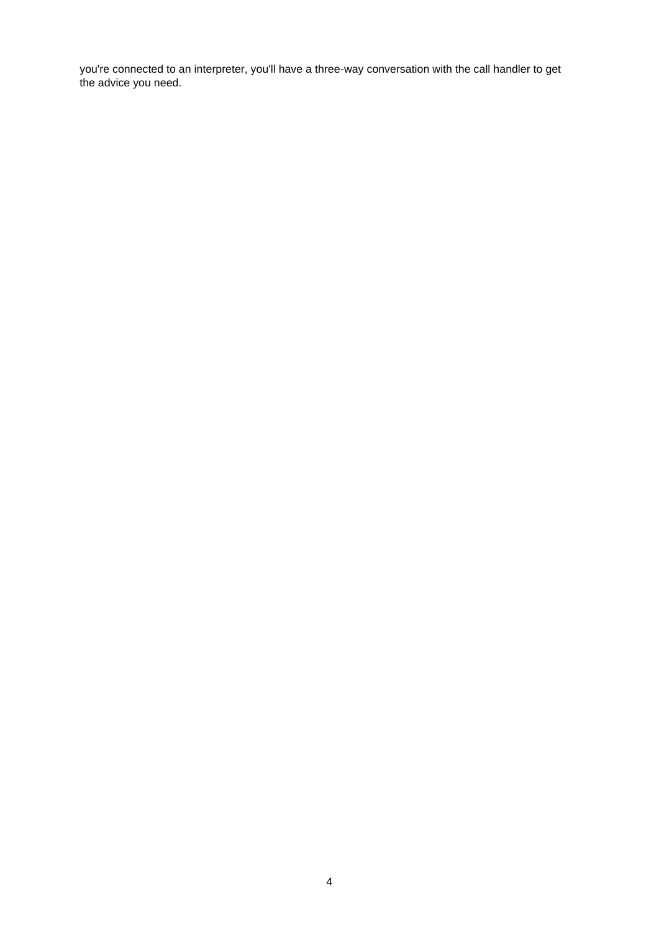you're connected to an interpreter, you'll have a three-way conversation with the call handler to get the advice you need.